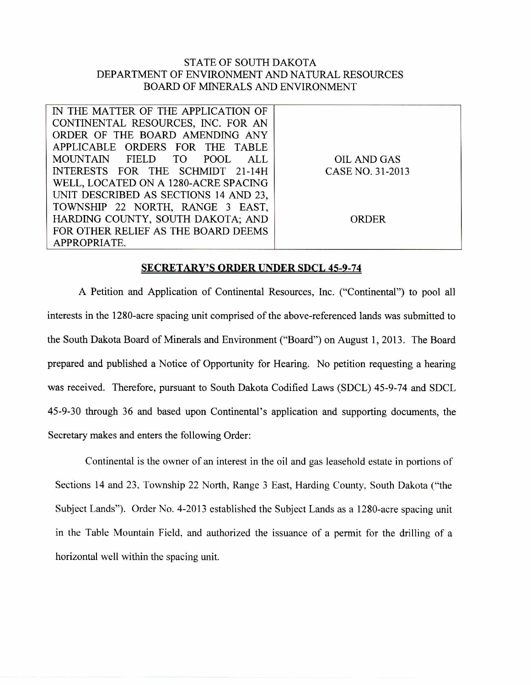## STATE OF SOUTH DAKOTA DEPARTMENT OF ENVIRONMENT AND NATURAL RESOURCES BOARD OF MINERALS AND ENVIRONMENT

| IN THE MATTER OF THE APPLICATION OF   |                  |
|---------------------------------------|------------------|
| CONTINENTAL RESOURCES, INC. FOR AN    |                  |
| ORDER OF THE BOARD AMENDING ANY       |                  |
| APPLICABLE ORDERS FOR THE TABLE       |                  |
| MOUNTAIN FIELD TO<br>POOL<br>ALL.     | OIL AND GAS      |
| INTERESTS FOR THE SCHMIDT 21-14H      | CASE NO. 31-2013 |
| WELL, LOCATED ON A 1280-ACRE SPACING  |                  |
| UNIT DESCRIBED AS SECTIONS 14 AND 23, |                  |
| TOWNSHIP 22 NORTH, RANGE 3 EAST,      |                  |
| HARDING COUNTY, SOUTH DAKOTA; AND     | ORDER            |
| FOR OTHER RELIEF AS THE BOARD DEEMS   |                  |
| APPROPRIATE.                          |                  |

## **SECRETARY'S ORDER UNDER SDCL 45-9-74**

A Petition and Application of Continental Resources, Inc. ("Continental") to pool all interests in the 1280-acre spacing unit comprised of the above-referenced lands was submitted to the South Dakota Board of Minerals and Environment ("Board") on August 1, 2013. The Board prepared and published a Notice of Opportunity for Hearing. No petition requesting a hearing was received. Therefore, pursuant to South Dakota Codified Laws (SDCL) 45-9-74 and SDCL 45-9-30 through 36 and based upon Continental's application and supporting documents, the Secretary makes and enters the following Order:

Continental is the owner of an interest in the oil and gas leasehold estate in portions of Sections 14 and 23, Township 22 North, Range 3 East, Harding County, South Dakota ("the Subject Lands"). Order No. 4-2013 established the Subject Lands as a 1280-acre spacing unit in the Table Mountain Field, and authorized the issuance of a permit for the drilling of a horizontal well within the spacing unit.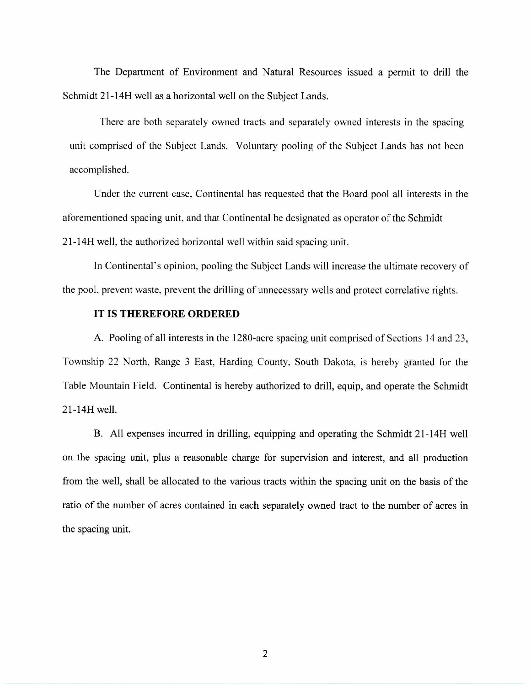The Department of Environment and Natural Resources issued a permit to drill the Schmidt 21-14H well as a horizontal well on the Subject Lands.

There are both separately owned tracts and separately owned interests in the spacing unit comprised of the Subject Lands. Voluntary pooling of the Subject Lands has not been accomplished.

Under the current case, Continental has requested that the Board pool all interests in the aforementioned spacing unit, and that Continental be designated as operator of the Schmidt 21-14H well, the authorized horizontal well within said spacing unit.

In Continental's opinion, pooling the Subject Lands will increase the ultimate recovery of the pool, prevent waste, prevent the drilling of unnecessary wells and protect correlative rights.

## **IT IS THEREFORE ORDERED**

A. Pooling of all interests in the 1280-acre spacing unit comprised of Sections 14 and 23, Township 22 North, Range 3 East, Harding County. South Dakota, is hereby granted for the Table Mountain Field. Continental is hereby authorized to drill, equip, and operate the Schmidt 21-14H well.

B. All expenses incurred in drilling, equipping and operating the Schmidt 21-14H well on the spacing unit, plus a reasonable charge for supervision and interest, and all production from the well, shall be allocated to the various tracts within the spacing unit on the basis of the ratio of the number of acres contained in each separately owned tract to the number of acres in the spacing unit.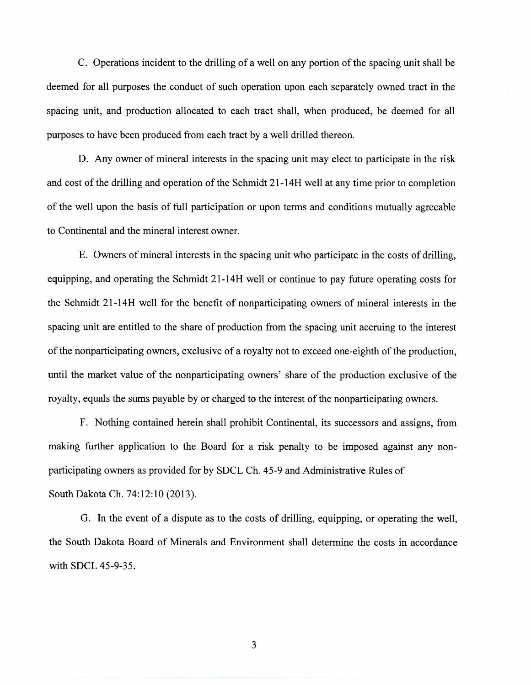C. Operations incident to the drilling of a well on any portion of the spacing unit shall be deemed for all purposes the conduct of such operation upon each separately owned tract in the spacing unit, and production allocated to each tract shall, when produced, be deemed for all purposes to have been produced from each tract by a well drilled thereon.

D. Any owner of mineral interests in the spacing unit may elect to participate in the risk and cost of the drilling and operation of the Schmidt 21-14H well at any time prior to completion of the well upon the basis of full participation or upon terms and conditions mutually agreeable to Continental and the mineral interest owner.

E. Owners of mineral interests in the spacing unit who participate in the costs of drilling, equipping, and operating the Schmidt 21-14H well or continue to pay future operating costs for the Schmidt 21-14H well for the benefit of nonparticipating owners of mineral interests in the spacing unit are entitled to the share of production from the spacing unit accruing to the interest of the nonparticipating owners, exclusive of a royalty not to exceed one-eighth of the production, until the market value of the nonparticipating owners' share of the production exclusive of the royalty, equals the sums payable by or charged to the interest of the nonparticipating owners.

F. Nothing contained herein shall prohibit Continental, its successors and assigns, from making further application to the Board for a risk penalty to be imposed against any nonparticipating owners as provided for by SDCL Ch. 45-9 and Administrative Rules of South Dakota Ch. 74:12:10 (2013).

G. In the event of a dispute as to the costs of drilling, equipping, or operating the well, the South Dakota Board of Minerals and Environment shall determine the costs in accordance with SDCL 45-9-35.

3